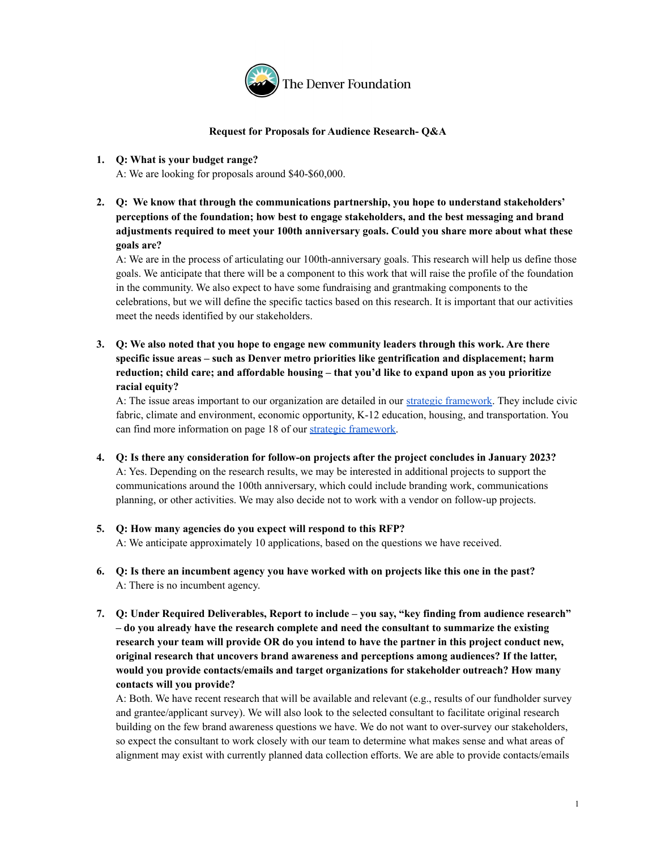

## **Request for Proposals for Audience Research- Q&A**

# **1. Q: What is your budget range?**

A: We are looking for proposals around \$40-\$60,000.

**2. Q: We know that through the communications partnership, you hope to understand stakeholders' perceptions of the foundation; how best to engage stakeholders, and the best messaging and brand adjustments required to meet your 100th anniversary goals. Could you share more about what these goals are?**

A: We are in the process of articulating our 100th-anniversary goals. This research will help us define those goals. We anticipate that there will be a component to this work that will raise the profile of the foundation in the community. We also expect to have some fundraising and grantmaking components to the celebrations, but we will define the specific tactics based on this research. It is important that our activities meet the needs identified by our stakeholders.

**3. Q: We also noted that you hope to engage new community leaders through this work. Are there specific issue areas – such as Denver metro priorities like gentrification and displacement; harm reduction; child care; and affordable housing – that you'd like to expand upon as you prioritize racial equity?**

A: The issue areas important to our organization are detailed in our strategic [framework.](https://denverfoundation.org/news-initiatives/strategic-framework/) They include civic fabric, climate and environment, economic opportunity, K-12 education, housing, and transportation. You can find more information on page 18 of our strategic [framework.](https://denverfoundation.org/news-initiatives/strategic-framework/)

- **4. Q: Is there any consideration for follow-on projects after the project concludes in January 2023?** A: Yes. Depending on the research results, we may be interested in additional projects to support the communications around the 100th anniversary, which could include branding work, communications planning, or other activities. We may also decide not to work with a vendor on follow-up projects.
- **5. Q: How many agencies do you expect will respond to this RFP?** A: We anticipate approximately 10 applications, based on the questions we have received.
- 6. Q: Is there an incumbent agency you have worked with on projects like this one in the past? A: There is no incumbent agency.
- **7. Q: Under Required Deliverables, Report to include – you say, "key finding from audience research" – do you already have the research complete and need the consultant to summarize the existing research your team will provide OR do you intend to have the partner in this project conduct new, original research that uncovers brand awareness and perceptions among audiences? If the latter, would you provide contacts/emails and target organizations for stakeholder outreach? How many contacts will you provide?**

A: Both. We have recent research that will be available and relevant (e.g., results of our fundholder survey and grantee/applicant survey). We will also look to the selected consultant to facilitate original research building on the few brand awareness questions we have. We do not want to over-survey our stakeholders, so expect the consultant to work closely with our team to determine what makes sense and what areas of alignment may exist with currently planned data collection efforts. We are able to provide contacts/emails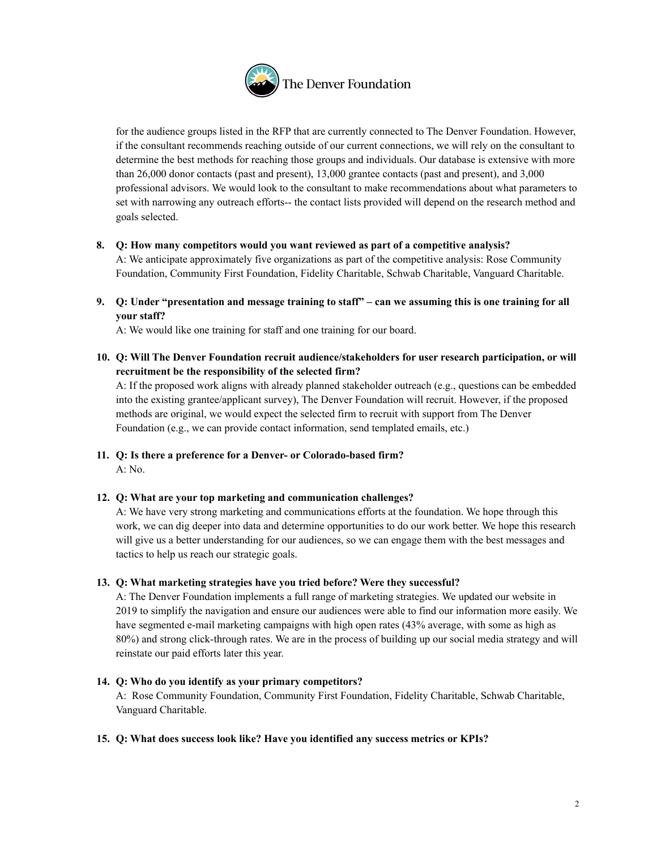

for the audience groups listed in the RFP that are currently connected to The Denver Foundation. However, if the consultant recommends reaching outside of our current connections, we will rely on the consultant to determine the best methods for reaching those groups and individuals. Our database is extensive with more than 26,000 donor contacts (past and present), 13,000 grantee contacts (past and present), and 3,000 professional advisors. We would look to the consultant to make recommendations about what parameters to set with narrowing any outreach efforts-- the contact lists provided will depend on the research method and goals selected.

**8. Q: How many competitors would you want reviewed as part of a competitive analysis?**

A: We anticipate approximately five organizations as part of the competitive analysis: Rose Community Foundation, Community First Foundation, Fidelity Charitable, Schwab Charitable, Vanguard Charitable.

9. Q: Under "presentation and message training to staff" – can we assuming this is one training for all **your staff?**

A: We would like one training for staff and one training for our board.

**10. Q: Will The Denver Foundation recruit audience/stakeholders for user research participation, or will recruitment be the responsibility of the selected firm?**

A: If the proposed work aligns with already planned stakeholder outreach (e.g., questions can be embedded into the existing grantee/applicant survey), The Denver Foundation will recruit. However, if the proposed methods are original, we would expect the selected firm to recruit with support from The Denver Foundation (e.g., we can provide contact information, send templated emails, etc.)

- **11. Q: Is there a preference for a Denver- or Colorado-based firm?** A: No.
- **12. Q: What are your top marketing and communication challenges?**

A: We have very strong marketing and communications efforts at the foundation. We hope through this work, we can dig deeper into data and determine opportunities to do our work better. We hope this research will give us a better understanding for our audiences, so we can engage them with the best messages and tactics to help us reach our strategic goals.

**13. Q: What marketing strategies have you tried before? Were they successful?**

A: The Denver Foundation implements a full range of marketing strategies. We updated our website in 2019 to simplify the navigation and ensure our audiences were able to find our information more easily. We have segmented e-mail marketing campaigns with high open rates (43% average, with some as high as 80%) and strong click-through rates. We are in the process of building up our social media strategy and will reinstate our paid efforts later this year.

## **14. Q: Who do you identify as your primary competitors?**

A: Rose Community Foundation, Community First Foundation, Fidelity Charitable, Schwab Charitable, Vanguard Charitable.

# **15. Q: What does success look like? Have you identified any success metrics or KPIs?**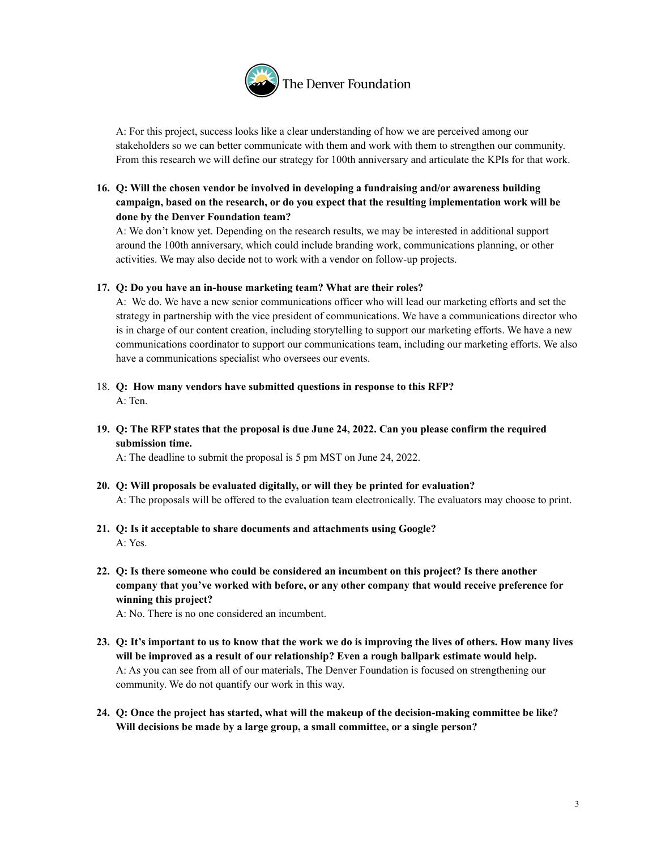

A: For this project, success looks like a clear understanding of how we are perceived among our stakeholders so we can better communicate with them and work with them to strengthen our community. From this research we will define our strategy for 100th anniversary and articulate the KPIs for that work.

# **16. Q: Will the chosen vendor be involved in developing a fundraising and/or awareness building campaign, based on the research, or do you expect that the resulting implementation work will be done by the Denver Foundation team?**

A: We don't know yet. Depending on the research results, we may be interested in additional support around the 100th anniversary, which could include branding work, communications planning, or other activities. We may also decide not to work with a vendor on follow-up projects.

## **17. Q: Do you have an in-house marketing team? What are their roles?**

A: We do. We have a new senior communications officer who will lead our marketing efforts and set the strategy in partnership with the vice president of communications. We have a communications director who is in charge of our content creation, including storytelling to support our marketing efforts. We have a new communications coordinator to support our communications team, including our marketing efforts. We also have a communications specialist who oversees our events.

- 18. **Q: How many vendors have submitted questions in response to this RFP?** A: Ten.
- 19. Q: The RFP states that the proposal is due June 24, 2022. Can you please confirm the required **submission time.**

A: The deadline to submit the proposal is 5 pm MST on June 24, 2022.

- **20. Q: Will proposals be evaluated digitally, or will they be printed for evaluation?** A: The proposals will be offered to the evaluation team electronically. The evaluators may choose to print.
- **21. Q: Is it acceptable to share documents and attachments using Google?** A: Yes.
- **22. Q: Is there someone who could be considered an incumbent on this project? Is there another company that you've worked with before, or any other company that would receive preference for winning this project?**

A: No. There is no one considered an incumbent.

- 23. Q: It's important to us to know that the work we do is improving the lives of others. How many lives **will be improved as a result of our relationship? Even a rough ballpark estimate would help.** A: As you can see from all of our materials, The Denver Foundation is focused on strengthening our community. We do not quantify our work in this way.
- **24. Q: Once the project has started, what will the makeup of the decision-making committee be like? Will decisions be made by a large group, a small committee, or a single person?**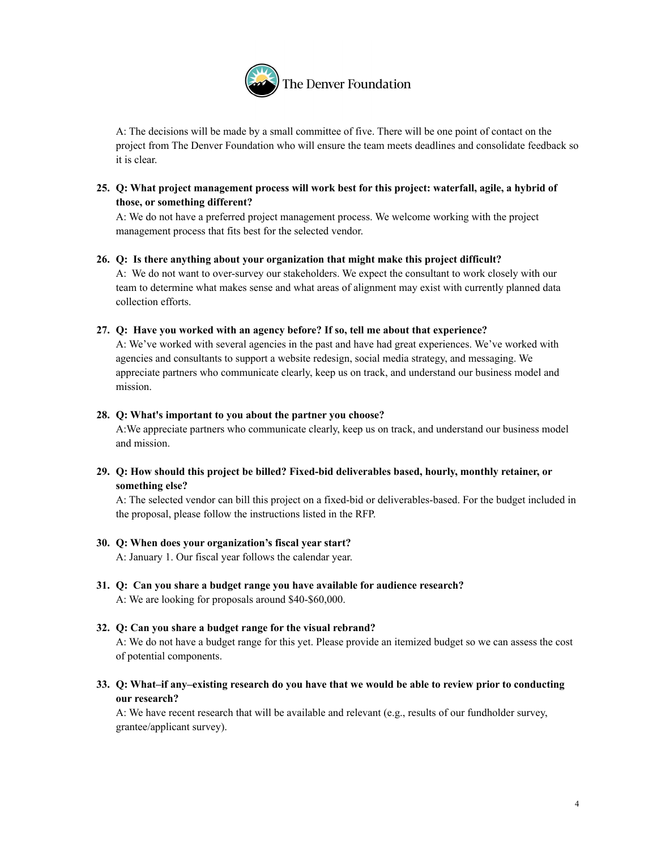

A: The decisions will be made by a small committee of five. There will be one point of contact on the project from The Denver Foundation who will ensure the team meets deadlines and consolidate feedback so it is clear.

# **25. Q: What project management process will work best for this project: waterfall, agile, a hybrid of those, or something different?**

A: We do not have a preferred project management process. We welcome working with the project management process that fits best for the selected vendor.

#### **26. Q: Is there anything about your organization that might make this project difficult?**

A: We do not want to over-survey our stakeholders. We expect the consultant to work closely with our team to determine what makes sense and what areas of alignment may exist with currently planned data collection efforts.

#### **27. Q: Have you worked with an agency before? If so, tell me about that experience?**

A: We've worked with several agencies in the past and have had great experiences. We've worked with agencies and consultants to support a website redesign, social media strategy, and messaging. We appreciate partners who communicate clearly, keep us on track, and understand our business model and mission.

#### **28. Q: What's important to you about the partner you choose?**

A:We appreciate partners who communicate clearly, keep us on track, and understand our business model and mission.

# **29. Q: How should this project be billed? Fixed-bid deliverables based, hourly, monthly retainer, or something else?**

A: The selected vendor can bill this project on a fixed-bid or deliverables-based. For the budget included in the proposal, please follow the instructions listed in the RFP.

## **30. Q: When does your organization's fiscal year start?**

A: January 1. Our fiscal year follows the calendar year.

**31. Q: Can you share a budget range you have available for audience research?** A: We are looking for proposals around \$40-\$60,000.

# **32. Q: Can you share a budget range for the visual rebrand?**

A: We do not have a budget range for this yet. Please provide an itemized budget so we can assess the cost of potential components.

33. Q: What-if any-existing research do you have that we would be able to review prior to conducting **our research?**

A: We have recent research that will be available and relevant (e.g., results of our fundholder survey, grantee/applicant survey).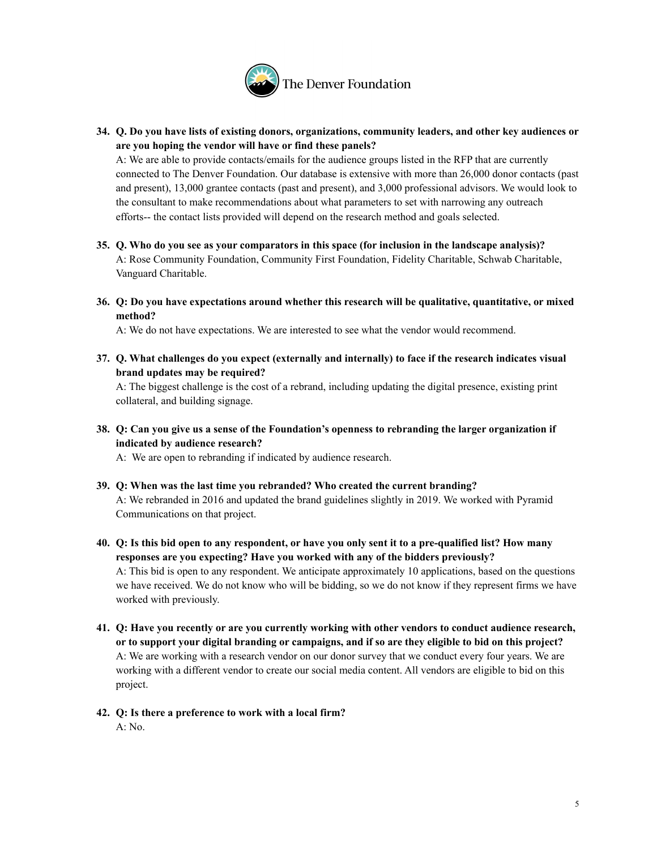

**34. Q. Do you have lists of existing donors, organizations, community leaders, and other key audiences or are you hoping the vendor will have or find these panels?**

A: We are able to provide contacts/emails for the audience groups listed in the RFP that are currently connected to The Denver Foundation. Our database is extensive with more than 26,000 donor contacts (past and present), 13,000 grantee contacts (past and present), and 3,000 professional advisors. We would look to the consultant to make recommendations about what parameters to set with narrowing any outreach efforts-- the contact lists provided will depend on the research method and goals selected.

- **35. Q. Who do you see as your comparators in this space (for inclusion in the landscape analysis)?** A: Rose Community Foundation, Community First Foundation, Fidelity Charitable, Schwab Charitable, Vanguard Charitable.
- **36. Q: Do you have expectations around whether this research will be qualitative, quantitative, or mixed method?**

A: We do not have expectations. We are interested to see what the vendor would recommend.

**37. Q. What challenges do you expect (externally and internally) to face if the research indicates visual brand updates may be required?**

A: The biggest challenge is the cost of a rebrand, including updating the digital presence, existing print collateral, and building signage.

38. Q: Can you give us a sense of the Foundation's openness to rebranding the larger organization if **indicated by audience research?**

A: We are open to rebranding if indicated by audience research.

- **39. Q: When was the last time you rebranded? Who created the current branding?** A: We rebranded in 2016 and updated the brand guidelines slightly in 2019. We worked with Pyramid Communications on that project.
- 40. Q: Is this bid open to any respondent, or have you only sent it to a pre-qualified list? How many **responses are you expecting? Have you worked with any of the bidders previously?** A: This bid is open to any respondent. We anticipate approximately 10 applications, based on the questions we have received. We do not know who will be bidding, so we do not know if they represent firms we have worked with previously.
- **41. Q: Have you recently or are you currently working with other vendors to conduct audience research,** or to support your digital branding or campaigns, and if so are they eligible to bid on this project? A: We are working with a research vendor on our donor survey that we conduct every four years. We are working with a different vendor to create our social media content. All vendors are eligible to bid on this project.
- **42. Q: Is there a preference to work with a local firm?** A: No.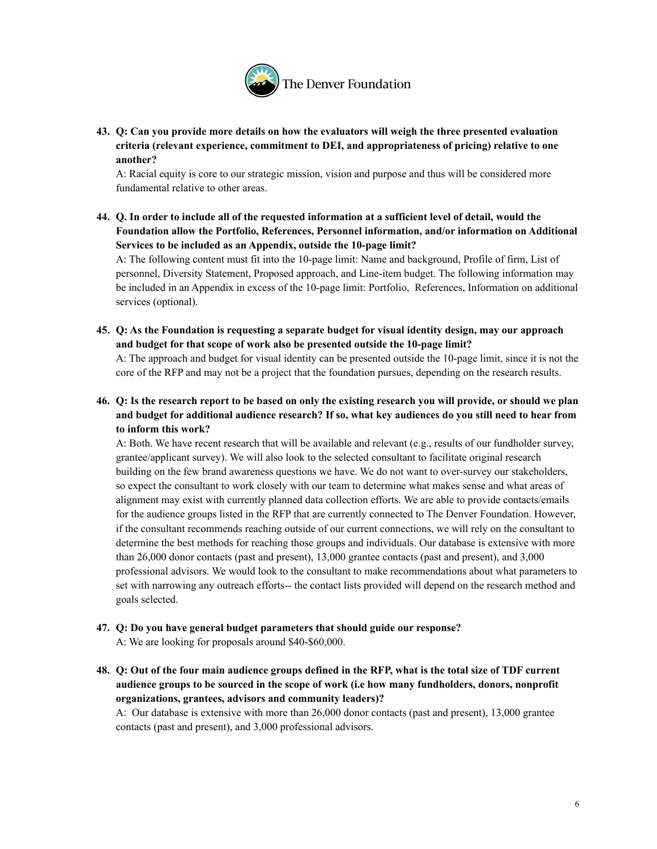

**43. Q: Can you provide more details on how the evaluators will weigh the three presented evaluation criteria (relevant experience, commitment to DEI, and appropriateness of pricing) relative to one another?**

A: Racial equity is core to our strategic mission, vision and purpose and thus will be considered more fundamental relative to other areas.

44. Q. In order to include all of the requested information at a sufficient level of detail, would the **Foundation allow the Portfolio, References, Personnel information, and/or information on Additional Services to be included as an Appendix, outside the 10-page limit?**

A: The following content must fit into the 10-page limit: Name and background, Profile of firm, List of personnel, Diversity Statement, Proposed approach, and Line-item budget. The following information may be included in an Appendix in excess of the 10-page limit: Portfolio, References, Information on additional services (optional).

**45. Q: As the Foundation is requesting a separate budget for visual identity design, may our approach and budget for that scope of work also be presented outside the 10-page limit?**

A: The approach and budget for visual identity can be presented outside the 10-page limit, since it is not the core of the RFP and may not be a project that the foundation pursues, depending on the research results.

46. Q: Is the research report to be based on only the existing research you will provide, or should we plan and budget for additional audience research? If so, what key audiences do you still need to hear from **to inform this work?**

A: Both. We have recent research that will be available and relevant (e.g., results of our fundholder survey, grantee/applicant survey). We will also look to the selected consultant to facilitate original research building on the few brand awareness questions we have. We do not want to over-survey our stakeholders, so expect the consultant to work closely with our team to determine what makes sense and what areas of alignment may exist with currently planned data collection efforts. We are able to provide contacts/emails for the audience groups listed in the RFP that are currently connected to The Denver Foundation. However, if the consultant recommends reaching outside of our current connections, we will rely on the consultant to determine the best methods for reaching those groups and individuals. Our database is extensive with more than 26,000 donor contacts (past and present), 13,000 grantee contacts (past and present), and 3,000 professional advisors. We would look to the consultant to make recommendations about what parameters to set with narrowing any outreach efforts-- the contact lists provided will depend on the research method and goals selected.

**47. Q: Do you have general budget parameters that should guide our response?**

A: We are looking for proposals around \$40-\$60,000.

48. Q: Out of the four main audience groups defined in the RFP, what is the total size of TDF current **audience groups to be sourced in the scope of work (i.e how many fundholders, donors, nonprofit organizations, grantees, advisors and community leaders)?**

A: Our database is extensive with more than 26,000 donor contacts (past and present), 13,000 grantee contacts (past and present), and 3,000 professional advisors.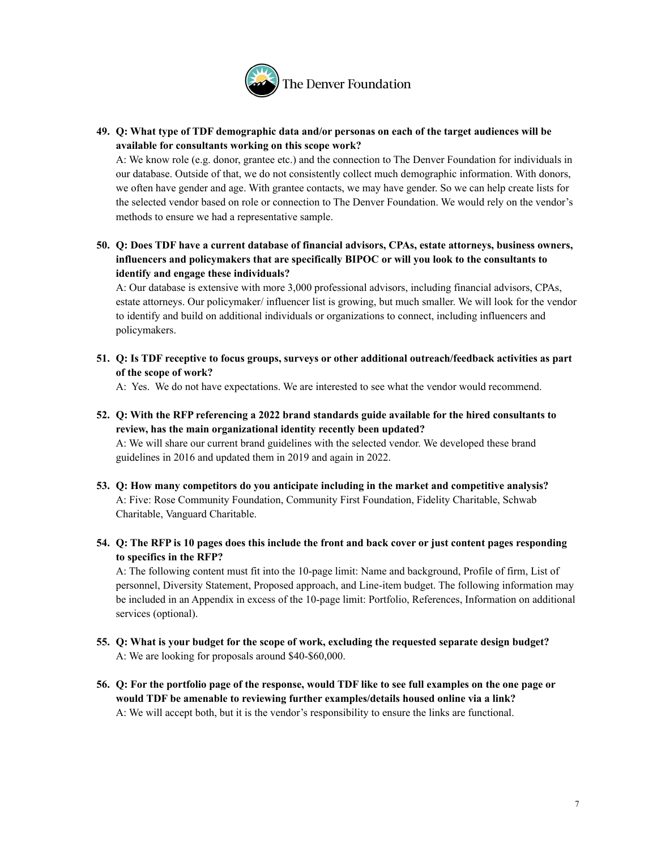

**49. Q: What type of TDF demographic data and/or personas on each of the target audiences will be available for consultants working on this scope work?**

A: We know role (e.g. donor, grantee etc.) and the connection to The Denver Foundation for individuals in our database. Outside of that, we do not consistently collect much demographic information. With donors, we often have gender and age. With grantee contacts, we may have gender. So we can help create lists for the selected vendor based on role or connection to The Denver Foundation. We would rely on the vendor's methods to ensure we had a representative sample.

**50. Q: Does TDF have a current database of financial advisors, CPAs, estate attorneys, business owners, influencers and policymakers that are specifically BIPOC or will you look to the consultants to identify and engage these individuals?**

A: Our database is extensive with more 3,000 professional advisors, including financial advisors, CPAs, estate attorneys. Our policymaker/ influencer list is growing, but much smaller. We will look for the vendor to identify and build on additional individuals or organizations to connect, including influencers and policymakers.

**51. Q: Is TDF receptive to focus groups, surveys or other additional outreach/feedback activities as part of the scope of work?**

A: Yes. We do not have expectations. We are interested to see what the vendor would recommend.

**52. Q: With the RFP referencing a 2022 brand standards guide available for the hired consultants to review, has the main organizational identity recently been updated?**

A: We will share our current brand guidelines with the selected vendor. We developed these brand guidelines in 2016 and updated them in 2019 and again in 2022.

- **53. Q: How many competitors do you anticipate including in the market and competitive analysis?** A: Five: Rose Community Foundation, Community First Foundation, Fidelity Charitable, Schwab Charitable, Vanguard Charitable.
- 54. Q: The RFP is 10 pages does this include the front and back cover or just content pages responding **to specifics in the RFP?**

A: The following content must fit into the 10-page limit: Name and background, Profile of firm, List of personnel, Diversity Statement, Proposed approach, and Line-item budget. The following information may be included in an Appendix in excess of the 10-page limit: Portfolio, References, Information on additional services (optional).

- **55. Q: What is your budget for the scope of work, excluding the requested separate design budget?** A: We are looking for proposals around \$40-\$60,000.
- 56. Q: For the portfolio page of the response, would TDF like to see full examples on the one page or **would TDF be amenable to reviewing further examples/details housed online via a link?** A: We will accept both, but it is the vendor's responsibility to ensure the links are functional.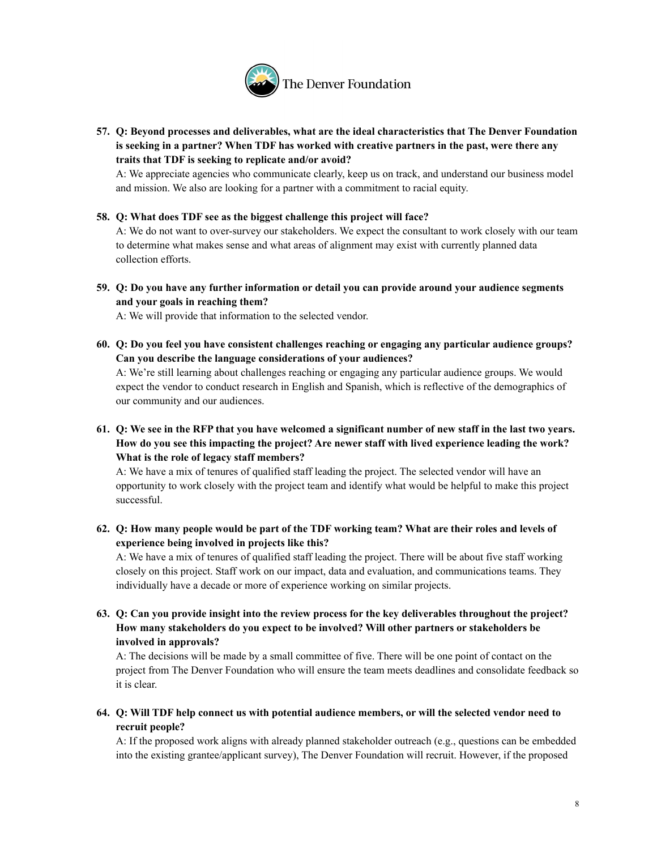

**57. Q: Beyond processes and deliverables, what are the ideal characteristics that The Denver Foundation is seeking in a partner? When TDF has worked with creative partners in the past, were there any traits that TDF is seeking to replicate and/or avoid?**

A: We appreciate agencies who communicate clearly, keep us on track, and understand our business model and mission. We also are looking for a partner with a commitment to racial equity.

**58. Q: What does TDF see as the biggest challenge this project will face?**

A: We do not want to over-survey our stakeholders. We expect the consultant to work closely with our team to determine what makes sense and what areas of alignment may exist with currently planned data collection efforts.

**59. Q: Do you have any further information or detail you can provide around your audience segments and your goals in reaching them?**

A: We will provide that information to the selected vendor.

**60. Q: Do you feel you have consistent challenges reaching or engaging any particular audience groups? Can you describe the language considerations of your audiences?**

A: We're still learning about challenges reaching or engaging any particular audience groups. We would expect the vendor to conduct research in English and Spanish, which is reflective of the demographics of our community and our audiences.

61. Q: We see in the RFP that you have welcomed a significant number of new staff in the last two years. **How do you see this impacting the project? Are newer staff with lived experience leading the work? What is the role of legacy staff members?**

A: We have a mix of tenures of qualified staff leading the project. The selected vendor will have an opportunity to work closely with the project team and identify what would be helpful to make this project successful.

62. Q: How many people would be part of the TDF working team? What are their roles and levels of **experience being involved in projects like this?**

A: We have a mix of tenures of qualified staff leading the project. There will be about five staff working closely on this project. Staff work on our impact, data and evaluation, and communications teams. They individually have a decade or more of experience working on similar projects.

**63. Q: Can you provide insight into the review process for the key deliverables throughout the project? How many stakeholders do you expect to be involved? Will other partners or stakeholders be involved in approvals?**

A: The decisions will be made by a small committee of five. There will be one point of contact on the project from The Denver Foundation who will ensure the team meets deadlines and consolidate feedback so it is clear.

64. Q: Will TDF help connect us with potential audience members, or will the selected vendor need to **recruit people?**

A: If the proposed work aligns with already planned stakeholder outreach (e.g., questions can be embedded into the existing grantee/applicant survey), The Denver Foundation will recruit. However, if the proposed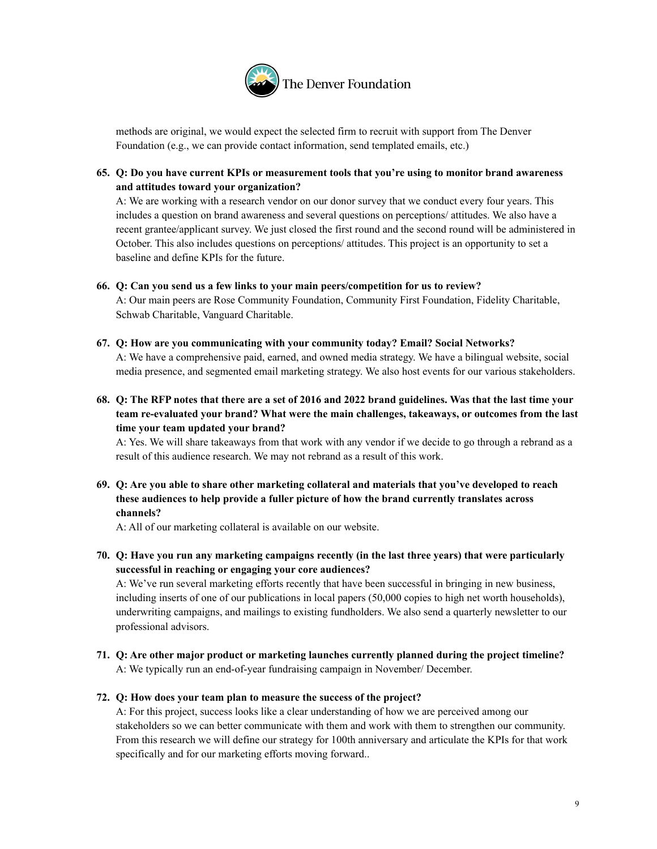

methods are original, we would expect the selected firm to recruit with support from The Denver Foundation (e.g., we can provide contact information, send templated emails, etc.)

**65. Q: Do you have current KPIs or measurement tools that you're using to monitor brand awareness and attitudes toward your organization?**

A: We are working with a research vendor on our donor survey that we conduct every four years. This includes a question on brand awareness and several questions on perceptions/ attitudes. We also have a recent grantee/applicant survey. We just closed the first round and the second round will be administered in October. This also includes questions on perceptions/ attitudes. This project is an opportunity to set a baseline and define KPIs for the future.

#### **66. Q: Can you send us a few links to your main peers/competition for us to review?**

A: Our main peers are Rose Community Foundation, Community First Foundation, Fidelity Charitable, Schwab Charitable, Vanguard Charitable.

- **67. Q: How are you communicating with your community today? Email? Social Networks?** A: We have a comprehensive paid, earned, and owned media strategy. We have a bilingual website, social media presence, and segmented email marketing strategy. We also host events for our various stakeholders.
- 68. Q: The RFP notes that there are a set of 2016 and 2022 brand guidelines. Was that the last time your **team re-evaluated your brand? What were the main challenges, takeaways, or outcomes from the last time your team updated your brand?**

A: Yes. We will share takeaways from that work with any vendor if we decide to go through a rebrand as a result of this audience research. We may not rebrand as a result of this work.

**69. Q: Are you able to share other marketing collateral and materials that you've developed to reach these audiences to help provide a fuller picture of how the brand currently translates across channels?**

A: All of our marketing collateral is available on our website.

**70. Q: Have you run any marketing campaigns recently (in the last three years) that were particularly successful in reaching or engaging your core audiences?**

A: We've run several marketing efforts recently that have been successful in bringing in new business, including inserts of one of our publications in local papers (50,000 copies to high net worth households), underwriting campaigns, and mailings to existing fundholders. We also send a quarterly newsletter to our professional advisors.

**71. Q: Are other major product or marketing launches currently planned during the project timeline?** A: We typically run an end-of-year fundraising campaign in November/ December.

## **72. Q: How does your team plan to measure the success of the project?**

A: For this project, success looks like a clear understanding of how we are perceived among our stakeholders so we can better communicate with them and work with them to strengthen our community. From this research we will define our strategy for 100th anniversary and articulate the KPIs for that work specifically and for our marketing efforts moving forward..